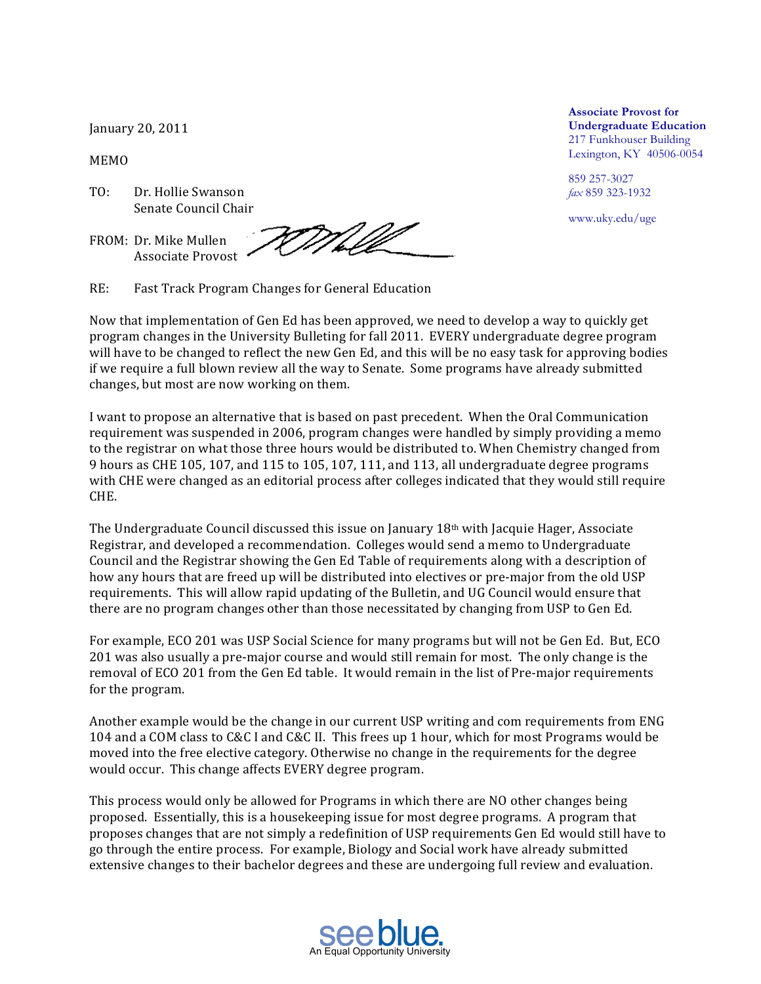January 20, 2011

MEMO

- TO: Dr. Hollie Swanson Senate Council Chair
- FROM: Dr. Mike Mullen Associate Provost

TMM

RE: Fast Track Program Changes for General Education

Now that implementation of Gen Ed has been approved, we need to develop a way to quickly get program changes in the University Bulleting for fall 2011. EVERY undergraduate degree program will have to be changed to reflect the new Gen Ed, and this will be no easy task for approving bodies if we require a full blown review all the way to Senate. Some programs have already submitted changes, but most are now working on them.

I want to propose an alternative that is based on past precedent. When the Oral Communication requirement was suspended in 2006, program changes were handled by simply providing a memo to the registrar on what those three hours would be distributed to. When Chemistry changed from 9 hours as CHE 105, 107, and 115 to 105, 107, 111, and 113, all undergraduate degree programs with CHE were changed as an editorial process after colleges indicated that they would still require CHE.

The Undergraduate Council discussed this issue on January  $18<sup>th</sup>$  with Jacquie Hager, Associate Registrar, and developed a recommendation. Colleges would send a memo to Undergraduate Council and the Registrar'showing the Gen Ed Table of requirements along with a description of how any hours that are freed up will be distributed into electives or pre-major from the old USP requirements. This will allow rapid updating of the Bulletin, and UG Council would ensure that there are no program changes other than those necessitated by changing from USP to Gen Ed.

For example, ECO 201 was USP Social Science for many programs but will not be Gen Ed. But, ECO 201' was also usually a pre-major course and would still remain for most. The only change is the removal of ECO 201 from the Gen Ed table. It would remain in the list of Pre-major requirements for the program.

Another example would be the change in our current USP writing and com requirements from ENG 104'and a COM class to C&C I and C&C II. This frees up 1 hour, which for most Programs would be moved into the free elective category. Otherwise no change in the requirements for the degree would occur. This change affects EVERY degree program.

This process would only be allowed for Programs in which there are NO other changes being proposed.''Essentially, this is a housekeeping issue for most degree programs. A program that proposes changes that are not simply a redefinition of USP requirements Gen Ed would still have to go through the entire process. For example, Biology and Social work have already submitted extensive changes to their bachelor degrees and these are undergoing full review and evaluation.

An Equal Opportunity University

**Associate Provost for Undergraduate Education** 217 Funkhouser Building Lexington, KY 40506-0054

859 257-3027 *fax* 859 323-1932

www.uky.edu/uge